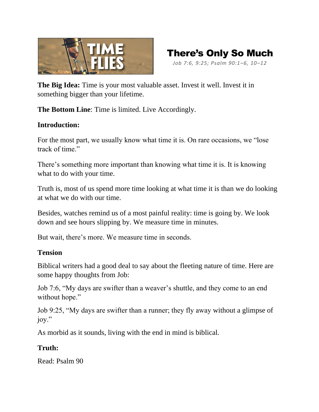



**The Big Idea:** Time is your most valuable asset. Invest it well. Invest it in something bigger than your lifetime.

**The Bottom Line**: Time is limited. Live Accordingly.

## **Introduction:**

For the most part, we usually know what time it is. On rare occasions, we "lose track of time."

There's something more important than knowing what time it is. It is knowing what to do with your time.

Truth is, most of us spend more time looking at what time it is than we do looking at what we do with our time.

Besides, watches remind us of a most painful reality: time is going by. We look down and see hours slipping by. We measure time in minutes.

But wait, there's more. We measure time in seconds.

## **Tension**

Biblical writers had a good deal to say about the fleeting nature of time. Here are some happy thoughts from Job:

Job 7:6, "My days are swifter than a weaver's shuttle, and they come to an end without hope."

Job 9:25, "My days are swifter than a runner; they fly away without a glimpse of joy."

As morbid as it sounds, living with the end in mind is biblical.

# **Truth:**

Read: Psalm 90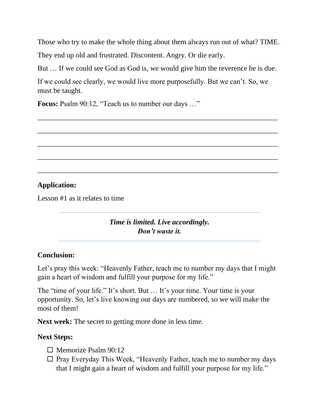Those who try to make the whole thing about them always run out of what? TIME.

They end up old and frustrated. Discontent. Angry. Or die early.

But … If we could see God as God is, we would give him the reverence he is due.

\_\_\_\_\_\_\_\_\_\_\_\_\_\_\_\_\_\_\_\_\_\_\_\_\_\_\_\_\_\_\_\_\_\_\_\_\_\_\_\_\_\_\_\_\_\_\_\_\_\_\_\_\_\_\_\_\_\_\_\_\_\_\_\_\_\_

\_\_\_\_\_\_\_\_\_\_\_\_\_\_\_\_\_\_\_\_\_\_\_\_\_\_\_\_\_\_\_\_\_\_\_\_\_\_\_\_\_\_\_\_\_\_\_\_\_\_\_\_\_\_\_\_\_\_\_\_\_\_\_\_\_\_

\_\_\_\_\_\_\_\_\_\_\_\_\_\_\_\_\_\_\_\_\_\_\_\_\_\_\_\_\_\_\_\_\_\_\_\_\_\_\_\_\_\_\_\_\_\_\_\_\_\_\_\_\_\_\_\_\_\_\_\_\_\_\_\_\_\_

\_\_\_\_\_\_\_\_\_\_\_\_\_\_\_\_\_\_\_\_\_\_\_\_\_\_\_\_\_\_\_\_\_\_\_\_\_\_\_\_\_\_\_\_\_\_\_\_\_\_\_\_\_\_\_\_\_\_\_\_\_\_\_\_\_\_

\_\_\_\_\_\_\_\_\_\_\_\_\_\_\_\_\_\_\_\_\_\_\_\_\_\_\_\_\_\_\_\_\_\_\_\_\_\_\_\_\_\_\_\_\_\_\_\_\_\_\_\_\_\_\_\_\_\_\_\_\_\_\_\_\_\_

If we could see clearly, we would live more purposefully. But we can't. So, we must be taught.

**Focus:** Psalm 90:12, "Teach us to number our days …"

# **Application:**

Lesson #1 as it relates to time

*Time is limited. Live accordingly. Don't waste it.*

## **Conclusion:**

Let's pray this week: "Heavenly Father, teach me to number my days that I might gain a heart of wisdom and fulfill your purpose for my life."

The "time of your life." It's short. But … It's your time. Your time is your opportunity. So, let's live knowing our days are numbered, so we will make the most of them!

**Next week:** The secret to getting more done in less time.

## **Next Steps:**

- $\Box$  Memorize Psalm 90:12
- $\Box$  Pray Everyday This Week, "Heavenly Father, teach me to number my days that I might gain a heart of wisdom and fulfill your purpose for my life."